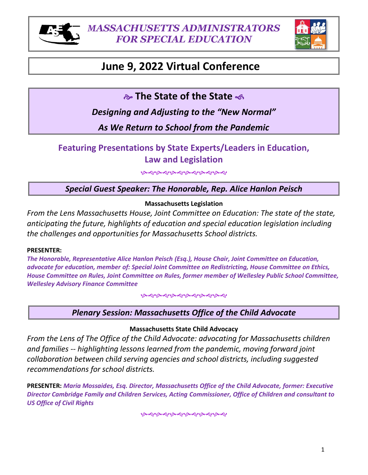



# June 9, 2022 Virtual Conference

**& The State of the State &** 

Designing and Adjusting to the "New Normal"

**Resulting from the Pandemic** 

# **Featuring Presentations by State Experts/Leaders in Education, Law and Legislation**

ড়ড়ড়ড়ড়ড়ড়ড়ড়ড়ড়

| GBE                                                                                                                                            |                | ·】 |
|------------------------------------------------------------------------------------------------------------------------------------------------|----------------|----|
| hyPdQE0WtEBE, FURIdIS<br><b>BG (MUSEP EXPERIENCE)</b><br>OQEPvL@bvy(@P@EvDQLv@DDQE<br><b>NUMBER PRIEV BU EN</b><br>MAYRODEL ZDDL<br><b>ğğX</b> | <b>ŠE\$0%E</b> |    |
| <b>WEdZ</b><br>W<br>:@MU,@G@Mzohv@@@G@@WdQEP\$E<br>dQEQEPWoRBVpssQEPPFFFFE<br><b>VESPIXVIMPERENTER</b><br><b>MARIEL BILLISOVER (DISK)</b>      |                |    |

**WARE OF BLV** 

# Massachusetts Legislation

From the Lens of Massachusetts Senator Ryan C. Fattman: The state of the state, anticipating the future, highlights of education and special education legislation induding the challenges and opportunities for Massachusetts School districts Senator Fattman will also highlight, as applicable, other pertinent legislative issues e.g. funding and pending legislation.

# **PRESENTER:**

The =onorable, Senator Ryan C. Fattman, ".". 8overnment Suffol yniversity, Master Public Policy Tufts yniversity, Fellow Rapport @stitute for "oston, =arvard yniversity, Member of the Massachusetts State Senate ‡ orcester and Norfol districts, former Member Massachusetts = ouse of Representatives, Member of the Sutton Massachusetts" oard of Selectman and supporter of targeted education bills legislation.  $\mathbf{1}$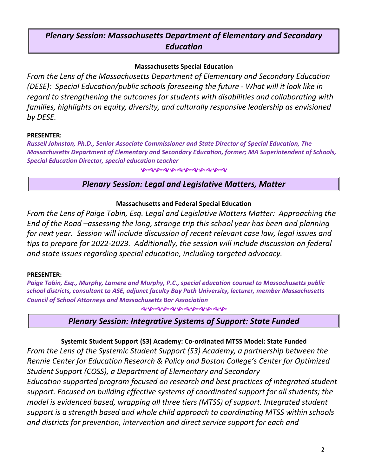# *Massachusetts Office of the Child Advocate*

#### **Massachusetts State Child Advocacy**

*From the Lens of The Office of the Child Advocate: advocating for Massachusetts children and families -- highlighting lessons learned from the pandemic, moving forward joint collaboration between child serving agencies and school districts, including suggested recommendations for school districts.*

#### **PRESENTER:**

*Maria Mossaides, Esq. Director, Massachusetts Office of the Child Advocate, former: Executive Director Cambridge Family and Children Services, Acting Commissioner, Office of Children and consultant to US Office of Civil Rights*

*ৼ৾*৻ড়৽ড়৾ড়ড়ড়ড়ড়ড়ড়

# *Massachusetts Department of Elementary and Secondary Education*

#### **Massachusetts Special Education**

*From the Lens of the Massachusetts Department of Elementary and Secondary Education (DESE): Special Education/public schools foreseeing the future - What will it look like in regard to strengthening the outcomes for students with disabilities and collaborating with families, highlights on equity, diversity, and culturally responsive leadership as envisioned by DESE.*

#### **PRESENTER**:

*Russell Johnston, Ph.D., Senior Associate Commissioner and State Director of Special Education, The Massachusetts Department of Elementary and Secondary Education, former; MA Superintendent of Schools, Special Education Director, special education teacher* 

*ক্ষৰ কৰাক ৰাকৰ কৰা কৰা* 

# *Legal and Legislative Matters, Matter*

#### **Massachusetts and Federal Special Education**

*From the Lens of Paige Tobin, Esq. Legal and Legislative Matters Matter: Approaching the End of the Road –assessing the long, strange trip this school year has been and planning for next year. Session will include discussion of recent relevant case law, legal issues and tips to prepare for 2022-2023. Additionally, the session will include discussion on federal and state issues regarding special education, including targeted advocacy.*

#### **PRESENTER:**

*Paige Tobin, Esq., Murphy, Lamere and Murphy, P.C., special education counsel to Massachusetts public school districts, consultant to ASE, adjunct faculty Bay Path University, lecturer, member Massachusetts Council of School Attorneys and Massachusetts Bar Association*